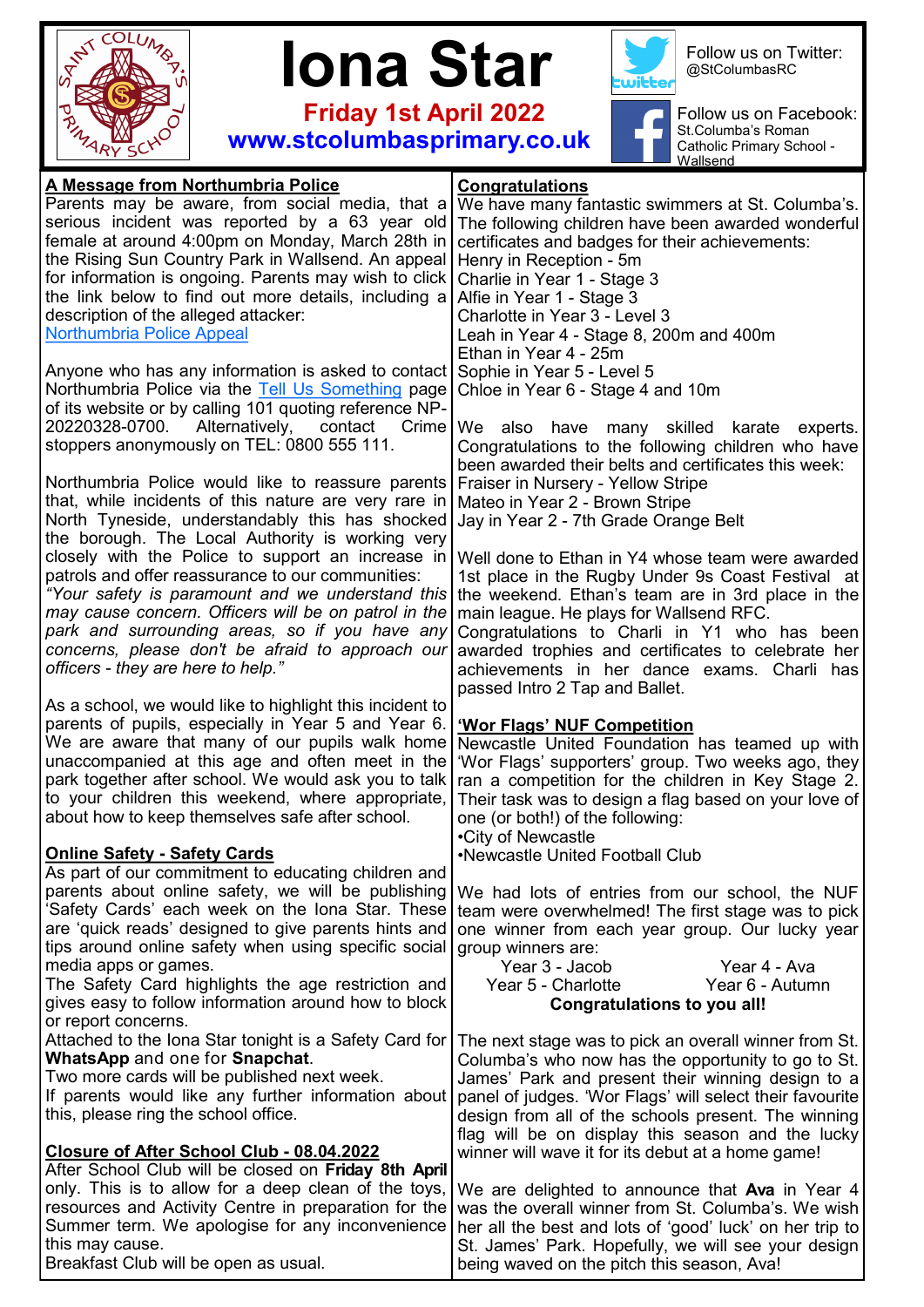

 **Iona Star**



Follow us on Twitter: @StColumbasRC

 **Friday 1st April 2022 www.stcolumbasprimary.co.uk**



Follow us on Facebook: St.Columba's Roman Catholic Primary School - Wallsend

| A Message from Northumbria Police                                                                        | <b>Congratulations</b>                                                                                 |
|----------------------------------------------------------------------------------------------------------|--------------------------------------------------------------------------------------------------------|
| Parents may be aware, from social media, that a                                                          | We have many fantastic swimmers at St. Columba's.                                                      |
| serious incident was reported by a 63 year old                                                           | The following children have been awarded wonderful                                                     |
| female at around 4:00pm on Monday, March 28th in                                                         | certificates and badges for their achievements:                                                        |
| the Rising Sun Country Park in Wallsend. An appeal                                                       | Henry in Reception - 5m                                                                                |
| for information is ongoing. Parents may wish to click                                                    | Charlie in Year 1 - Stage 3                                                                            |
| the link below to find out more details, including a                                                     | Alfie in Year 1 - Stage 3                                                                              |
| description of the alleged attacker:                                                                     | Charlotte in Year 3 - Level 3                                                                          |
| <b>Northumbria Police Appeal</b>                                                                         | Leah in Year 4 - Stage 8, 200m and 400m                                                                |
|                                                                                                          | Ethan in Year 4 - 25m                                                                                  |
| Anyone who has any information is asked to contact                                                       | Sophie in Year 5 - Level 5                                                                             |
| Northumbria Police via the Tell Us Something page                                                        | Chloe in Year 6 - Stage 4 and 10m                                                                      |
| of its website or by calling 101 quoting reference NP-                                                   |                                                                                                        |
| Alternatively, contact<br>20220328-0700.<br>Crime                                                        | We also have many skilled karate experts.                                                              |
| stoppers anonymously on TEL: 0800 555 111.                                                               | Congratulations to the following children who have                                                     |
|                                                                                                          | been awarded their belts and certificates this week:                                                   |
| Northumbria Police would like to reassure parents                                                        | Fraiser in Nursery - Yellow Stripe                                                                     |
| that, while incidents of this nature are very rare in                                                    | Mateo in Year 2 - Brown Stripe                                                                         |
| North Tyneside, understandably this has shocked                                                          | Jay in Year 2 - 7th Grade Orange Belt                                                                  |
| the borough. The Local Authority is working very                                                         |                                                                                                        |
|                                                                                                          | closely with the Police to support an increase in Well done to Ethan in Y4 whose team were awarded     |
| patrols and offer reassurance to our communities:                                                        | 1st place in the Rugby Under 9s Coast Festival at                                                      |
| "Your safety is paramount and we understand this<br>may cause concern. Officers will be on patrol in the | the weekend. Ethan's team are in 3rd place in the                                                      |
| park and surrounding areas, so if you have any                                                           | main league. He plays for Wallsend RFC.                                                                |
| concerns, please don't be afraid to approach our                                                         | Congratulations to Charli in Y1 who has been                                                           |
| officers - they are here to help."                                                                       | awarded trophies and certificates to celebrate her<br>achievements in her dance exams. Charli has      |
|                                                                                                          | passed Intro 2 Tap and Ballet.                                                                         |
| As a school, we would like to highlight this incident to                                                 |                                                                                                        |
| parents of pupils, especially in Year 5 and Year 6.                                                      | <b>'Wor Flags' NUF Competition</b>                                                                     |
| We are aware that many of our pupils walk home                                                           | Newcastle United Foundation has teamed up with                                                         |
| unaccompanied at this age and often meet in the                                                          | 'Wor Flags' supporters' group. Two weeks ago, they                                                     |
| park together after school. We would ask you to talk                                                     | ran a competition for the children in Key Stage 2.                                                     |
| to your children this weekend, where appropriate,                                                        | Their task was to design a flag based on your love of                                                  |
| about how to keep themselves safe after school.                                                          | one (or both!) of the following:                                                                       |
|                                                                                                          | •City of Newcastle                                                                                     |
| <b>Online Safety - Safety Cards</b>                                                                      | •Newcastle United Football Club                                                                        |
| As part of our commitment to educating children and                                                      |                                                                                                        |
| parents about online safety, we will be publishing                                                       | We had lots of entries from our school, the NUF                                                        |
| 'Safety Cards' each week on the Iona Star. These                                                         | team were overwhelmed! The first stage was to pick                                                     |
| are 'quick reads' designed to give parents hints and                                                     | one winner from each year group. Our lucky year                                                        |
| tips around online safety when using specific social                                                     | group winners are:                                                                                     |
| media apps or games.                                                                                     | Year 3 - Jacob<br>Year 4 - Ava                                                                         |
| The Safety Card highlights the age restriction and                                                       | Year 5 - Charlotte<br>Year 6 - Autumn                                                                  |
| gives easy to follow information around how to block                                                     | <b>Congratulations to you all!</b>                                                                     |
| or report concerns.                                                                                      |                                                                                                        |
| Attached to the Iona Star tonight is a Safety Card for                                                   | The next stage was to pick an overall winner from St.                                                  |
| <b>WhatsApp and one for Snapchat.</b>                                                                    | Columba's who now has the opportunity to go to St.                                                     |
| Two more cards will be published next week.                                                              | James' Park and present their winning design to a                                                      |
| If parents would like any further information about<br>this, please ring the school office.              | panel of judges. 'Wor Flags' will select their favourite                                               |
|                                                                                                          | design from all of the schools present. The winning                                                    |
| Closure of After School Club - 08.04.2022                                                                | flag will be on display this season and the lucky<br>winner will wave it for its debut at a home game! |
| After School Club will be closed on Friday 8th April                                                     |                                                                                                        |
| only. This is to allow for a deep clean of the toys,                                                     | We are delighted to announce that Ava in Year 4                                                        |
| resources and Activity Centre in preparation for the                                                     | was the overall winner from St. Columba's. We wish                                                     |
| Summer term. We apologise for any inconvenience                                                          | her all the best and lots of 'good' luck' on her trip to                                               |
| this may cause.                                                                                          |                                                                                                        |
|                                                                                                          | St. James' Park. Hopefully, we will see your design                                                    |